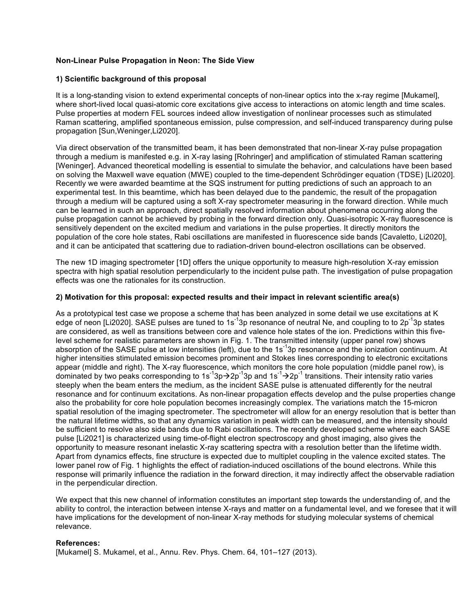## **Non-Linear Pulse Propagation in Neon: The Side View**

## **1) Scientific background of this proposal**

It is a long-standing vision to extend experimental concepts of non-linear optics into the x-ray regime [Mukamel], where short-lived local quasi-atomic core excitations give access to interactions on atomic length and time scales. Pulse properties at modern FEL sources indeed allow investigation of nonlinear processes such as stimulated Raman scattering, amplified spontaneous emission, pulse compression, and self-induced transparency during pulse propagation [Sun,Weninger,Li2020].

Via direct observation of the transmitted beam, it has been demonstrated that non-linear X-ray pulse propagation through a medium is manifested e.g. in X-ray lasing [Rohringer] and amplification of stimulated Raman scattering [Weninger]. Advanced theoretical modelling is essential to simulate the behavior, and calculations have been based on solving the Maxwell wave equation (MWE) coupled to the time-dependent Schrödinger equation (TDSE) [Li2020]. Recently we were awarded beamtime at the SQS instrument for putting predictions of such an approach to an experimental test. In this beamtime, which has been delayed due to the pandemic, the result of the propagation through a medium will be captured using a soft X-ray spectrometer measuring in the forward direction. While much can be learned in such an approach, direct spatially resolved information about phenomena occurring along the pulse propagation cannot be achieved by probing in the forward direction only. Quasi-isotropic X-ray fluorescence is sensitively dependent on the excited medium and variations in the pulse properties. It directly monitors the population of the core hole states, Rabi oscillations are manifested in fluorescence side bands [Cavaletto, Li2020], and it can be anticipated that scattering due to radiation-driven bound-electron oscillations can be observed.

The new 1D imaging spectrometer [1D] offers the unique opportunity to measure high-resolution X-ray emission spectra with high spatial resolution perpendicularly to the incident pulse path. The investigation of pulse propagation effects was one the rationales for its construction.

### **2) Motivation for this proposal: expected results and their impact in relevant scientific area(s)**

As a prototypical test case we propose a scheme that has been analyzed in some detail we use excitations at K edge of neon [Li2020]. SASE pulses are tuned to 1s<sup>-1</sup>3p resonance of neutral Ne, and coupling to to 2p<sup>-1</sup>3p states are considered, as well as transitions between core and valence hole states of the ion. Predictions within this fivelevel scheme for realistic parameters are shown in Fig. 1. The transmitted intensity (upper panel row) shows absorption of the SASE pulse at low intensities (left), due to the 1s<sup>-1</sup>3p resonance and the ionization continuum. At higher intensities stimulated emission becomes prominent and Stokes lines corresponding to electronic excitations appear (middle and right). The X-ray fluorescence, which monitors the core hole population (middle panel row), is dominated by two peaks corresponding to 1s<sup>-1</sup>3p $\rightarrow$ 2p<sup>-1</sup>3p and 1s<sup>-1</sup> $\rightarrow$ 2p<sup>-1</sup> transitions. Their intensity ratio varies steeply when the beam enters the medium, as the incident SASE pulse is attenuated differently for the neutral resonance and for continuum excitations. As non-linear propagation effects develop and the pulse properties change also the probability for core hole population becomes increasingly complex. The variations match the 15-micron spatial resolution of the imaging spectrometer. The spectrometer will allow for an energy resolution that is better than the natural lifetime widths, so that any dynamics variation in peak width can be measured, and the intensity should be sufficient to resolve also side bands due to Rabi oscillations. The recently developed scheme where each SASE pulse [Li2021] is characterized using time-of-flight electron spectroscopy and ghost imaging, also gives the opportunity to measure resonant inelastic X-ray scattering spectra with a resolution better than the lifetime width. Apart from dynamics effects, fine structure is expected due to multiplet coupling in the valence excited states. The lower panel row of Fig. 1 highlights the effect of radiation-induced oscillations of the bound electrons. While this response will primarily influence the radiation in the forward direction, it may indirectly affect the observable radiation in the perpendicular direction.

We expect that this new channel of information constitutes an important step towards the understanding of, and the ability to control, the interaction between intense X-rays and matter on a fundamental level, and we foresee that it will have implications for the development of non-linear X-ray methods for studying molecular systems of chemical relevance.

# **References:**

[Mukamel] S. Mukamel, et al., Annu. Rev. Phys. Chem. 64, 101–127 (2013).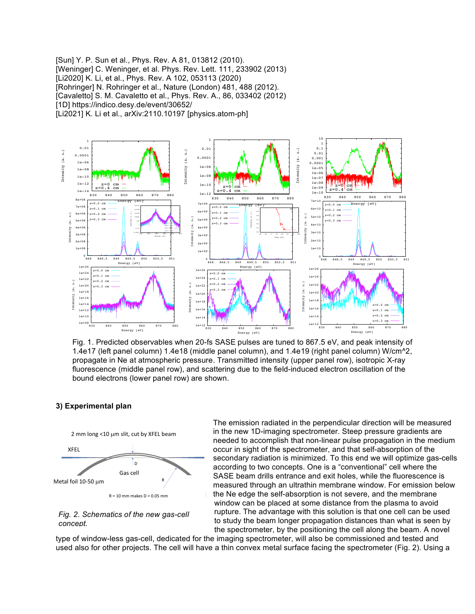[Sun] Y. P. Sun et al., Phys. Rev. A 81, 013812 (2010). [Weninger] C. Weninger, et al. Phys. Rev. Lett. 111, 233902 (2013) [Li2020] K. Li, et al., Phys. Rev. A 102, 053113 (2020) [Rohringer] N. Rohringer et al., Nature (London) 481, 488 (2012). [Cavaletto] S. M. Cavaletto et al., Phys. Rev. A., 86, 033402 (2012) [1D] https://indico.desy.de/event/30652/ [Li2021] K. Li et al., arXiv:2110.10197 [physics.atom-ph]



Fig. 1. Predicted observables when 20-fs SASE pulses are tuned to 867.5 eV, and peak intensity of 1.4e17 (left panel column) 1.4e18 (middle panel column), and 1.4e19 (right panel column) W/cm^2, propagate in Ne at atmospheric pressure. Transmitted intensity (upper panel row), isotropic X-ray fluorescence (middle panel row), and scattering due to the field-induced electron oscillation of the bound electrons (lower panel row) are shown.

### **3) Experimental plan**



*Fig. 2. Schematics of the new gas-cell concept.*

The emission radiated in the perpendicular direction will be measured in the new 1D-imaging spectrometer. Steep pressure gradients are needed to accomplish that non-linear pulse propagation in the medium occur in sight of the spectrometer, and that self-absorption of the secondary radiation is minimized. To this end we will optimize gas-cells according to two concepts. One is a "conventional" cell where the SASE beam drills entrance and exit holes, while the fluorescence is measured through an ultrathin membrane window. For emission below the Ne edge the self-absorption is not severe, and the membrane window can be placed at some distance from the plasma to avoid rupture. The advantage with this solution is that one cell can be used to study the beam longer propagation distances than what is seen by the spectrometer, by the positioning the cell along the beam. A novel

type of window-less gas-cell, dedicated for the imaging spectrometer, will also be commissioned and tested and used also for other projects. The cell will have a thin convex metal surface facing the spectrometer (Fig. 2). Using a